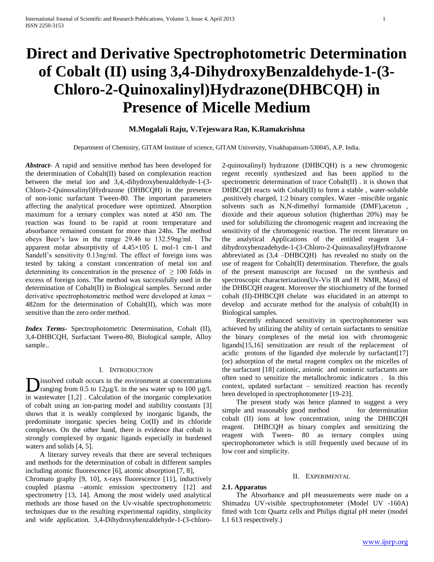# **Direct and Derivative Spectrophotometric Determination of Cobalt (II) using 3,4-DihydroxyBenzaldehyde-1-(3- Chloro-2-Quinoxalinyl)Hydrazone(DHBCQH) in Presence of Micelle Medium**

## **M.Mogalali Raju, V.Tejeswara Rao, K.Ramakrishna**

Department of Chemistry, GITAM Institute of science, GITAM University, Visakhapatnam-530045, A.P. India.

*Abstract***-** A rapid and sensitive method has been developed for the determination of Cobalt(II) based on complexation reaction between the metal ion and 3,4,-dihydroxybenzaldehyde-1-(3- Chloro-2-Quinoxalinyl)Hydrazone (DHBCQH) in the presence of non-ionic surfactant Tween-80. The important parameters affecting the analytical procedure were optimized. Absorption maximum for a ternary complex was noted at 450 nm. The reaction was found to be rapid at room temperature and absorbance remained constant for more than 24hs. The method obeys Beer's law in the range 29.46 to 132.59ng/ml. The apparent molar absorptivity of 4.45×105 L mol-1 cm-1 and Sandell's sensitivity 0.13ng/ml. The effect of foreign ions was tested by taking a constant concentration of metal ion and determining its concentration in the presence of  $\geq 100$  folds in excess of foreign ions. The method was successfully used in the determination of Cobalt(II) in Biological samples. Second order derivative spectrophotometric method were developed at λmax = 482nm for the determination of Cobalt(II), which was more sensitive than the zero order method.

*Index Terms*- Spectrophotometric Determination, Cobalt (II), 3,4-DHBCQH, Surfactant Tween-80, Biological sample, Alloy sample..

## I. INTRODUCTION

issolved cobalt occurs in the environment at concentrations  $\sum$  issolved cobalt occurs in the environment at concentrations<br>ranging from 0.5 to 12 $\mu$ g/L in the sea water up to 100  $\mu$ g/L in wastewater [1,2] . Calculation of the inorganic complexation of cobalt using an ion-paring model and stability constants [3] shows that it is weakly complexed by inorganic ligands, the predominate inorganic species being Co(II) and its chloride complexes. On the other hand, there is evidence that cobalt is strongly complexed by organic ligands especially in burdened waters and solids [4, 5].

 A literary survey reveals that there are several techniques and methods for the determination of cobalt in different samples including atomic fluorescence [6], atomic absorption [7, 8],

Chromato graphy [9, 10], x-rays fluorescence [11], inductively coupled plasma –atomic emission spectrometry [12] and spectrometry [13, 14]. Among the most widely used analytical methods are those based on the Uv-visable spectrophotometric techniques due to the resulting experimental rapidity, simplicity and wide application. 3,4-Dihydroxybenzaldehyde-1-(3-chloro2-quinoxalinyl) hydrazone (DHBCQH) is a new chromogenic regent recently synthesized and has been applied to the spectrometric determination of trace Cobalt(II) . it is shown that DHBCQH reacts with Cobalt(II) to form a stable , water-soluble ,positively charged, 1:2 binary complex. Water –miscible organic solvents such as N,N-dimethyl formamide (DMF),aceton , dioxide and their aqueous solution (higherthan 20%) may be used for solubilizing the chromogenic reagent and increasing the sensitivity of the chromogenic reaction. The recent literature on the analytical Applications of the entitled reagent 3,4– dihydroxybenzadehyde-1-(3-Chloro-2-Quinoaxalinyl)Hydrazone abbreviated as (3,4 –DHBCQH) has revealed no study on the use of reagent for Cobalt(II) determination. Therefore, the goals of the present manuscript are focused on the synthesis and spectroscopic characterization(Uv-Vis IR and H NMR, Mass) of the DHBCQH reagent. Moreover the stiochiometry of the formed cobalt (II)-DHBCQH chelate was elucidated in an attempt to develop and accurate method for the analysis of cobalt(II) in Biological samples.

 Recently enhanced sensitivity in spectrophotometer was achieved by utilizing the ability of certain surfactants to sensitize the binary complexes of the metal ion with chromogenic ligands[15,16] sensitization are result of the replacement of acidic protons of the liganded dye molecule by surfactant[17] (or) adsorption of the metal reagent complex on the micelles of the surfactant [18] cationic, anionic and nonionic surfactants are often used to sensitize the metallochromic indicators . In this context, updated surfactant – sensitized reaction has recently been developed in spectrophotometer [19-23].

 The present study was hence planned to suggest a very simple and reasonably good method for determination cobalt (II) ions at low concentration, using the DHBCQH reagent. DHBCQH as binary complex and sensitizing the reagent with Tween- 80 as ternary complex using spectrophotometer which is still frequently used because of its low cost and simplicity.

## II. EXPERIMENTAL

## **2.1. Apparatus**

 The Absorbance and pH measurements were made on a Shimadzu UV-visible spectrophotometer (Model UV -160A) fitted with 1cm Quartz cells and Philips digital pH meter (model L1 613 respectively.)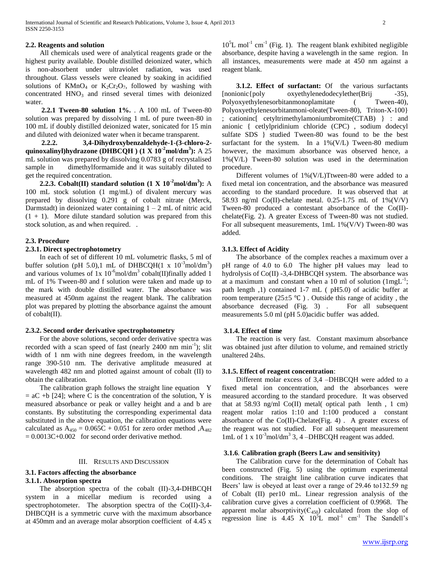## **2.2. Reagents and solution**

 All chemicals used were of analytical reagents grade or the highest purity available. Double distilled deionized water, which is non-absorbent under ultraviolet radiation, was used throughout. Glass vessels were cleaned by soaking in acidified solutions of  $KMnO<sub>4</sub>$  or  $K_2Cr_2O<sub>7</sub>$ , followed by washing with concentrated  $HNO<sub>3</sub>$  and rinsed several times with deionized water.

 **2.2.1 Tween-80 solution 1%.** . A 100 mL of Tween-80 solution was prepared by dissolving 1 mL of pure tween-80 in 100 mL if doubly distilled deionized water, sonicated for 15 min and diluted with deionized water when it became transparent.

 **2.2.2. 3,4-Dihydroxybenzaldehyde-1-(3-chloro-2 quinoxalinyl)hydrazone (DHBCQH ) (1 X 10-2mol/dm<sup>3</sup> ):** A 25 mL solution was prepared by dissolving 0.0783 g of recrystalised sample in dimethylformamide and it was suitably diluted to get the required concentration.

**2.2.3.** Cobalt(II) standard solution  $(1 \text{ X } 10^{-2} \text{mol/dm}^3)$ : A 100 mL stock solution (1 mg/mL) of divalent mercury was prepared by dissolving 0.291 g of cobalt nitrate (Merck, Darmstadt) in deionized water containing  $1 - 2$  mL of nitric acid  $(1 + 1)$ . More dilute standard solution was prepared from this stock solution, as and when required. .

## **2.3. Procedure**

## **2.3.1. Direct spectrophotometry**

 In each of set of different 10 mL volumetric flasks, 5 ml of buffer solution (pH 5.0),1 mL of DHBCQH(1 x  $10^{-3}$ mol/dm<sup>3</sup>) and various volumes of  $1x 10^{-6}$ mol/dm<sup>3</sup> cobalt(II)finally added 1 mL of 1% Tween-80 and f solution were taken and made up to the mark with double distilled water. The absorbance was measured at 450nm against the reagent blank. The calibration plot was prepared by plotting the absorbance against the amount of cobalt(II).

## **2.3.2. Second order derivative spectrophotometry**

 For the above solutions, second order derivative spectra was recorded with a scan speed of fast (nearly 2400 nm  $\text{min}^{-1}$ ); slit width of 1 nm with nine degrees freedom, in the wavelength range 390-510 nm. The derivative amplitude measured at wavelength 482 nm and plotted against amount of cobalt (II) to obtain the calibration.

 The calibration graph follows the straight line equation Y  $=$  aC +b [24]; where C is the concentration of the solution, Y is measured absorbance or peak or valley height and a and b are constants. By substituting the corresponding experimental data substituted in the above equation, the calibration equations were calculated as  $A_{450} = 0.065C + 0.051$  for zero order method ,  $A_{482}$  $= 0.0013C + 0.002$  for second order derivative method.

#### III. RESULTS AND DISCUSSION

## **3.1. Factors affecting the absorbance**

## **3.1.1. Absorption spectra**

 The absorption spectra of the cobalt (II)-3,4-DHBCQH system in a micellar medium is recorded using a spectrophotometer. The absorption spectra of the Co(II)-3,4- DHBCQH is a symmetric curve with the maximum absorbance at 450mm and an average molar absorption coefficient of 4.45 x

 $10<sup>5</sup>L$  mol<sup>-1</sup> cm<sup>-1</sup> (Fig. 1). The reagent blank exhibited negligible absorbance, despite having a wavelength in the same region. In all instances, measurements were made at 450 nm against a reagent blank.

 **3.1.2. Effect of surfactant:** Of the various surfactants [nonionic{poly oxyethylenedodecylether(Brij -35), Polyoxyethylenesorbitanmonoplamitate (Tween-40), Polyoxyethylenesorbitanmoni-oleate(Tween-80), Triton-X-100} ; cationinc[ cetyltrimethylamoniumbromite(CTAB) } : and anionic { cetlylpridinium chloride (CPC) , sodium dodecyl sulfate SDS } studied Tween-80 was found to be the best surfactant for the system. In a 1%(V/L) Tween-80 medium however, the maximum absorbance was observed hence, a 1%(V/L) Tween-80 solution was used in the determination procedure.

 Different volumes of 1%(V/L)Ttween-80 were added to a fixed metal ion concentration, and the absorbance was measured according to the standard procedure. It was observed that at 58.93 ng/ml Co(II)-chelate metal. 0.25-1.75 mL of 1%(V/V) Tween-80 produced a contestant absorbance of the Co(II) chelate(Fig. 2). A greater Excess of Tween-80 was not studied. For all subsequent measurements, 1mL 1%(V/V) Tween-80 was added*.*

## **3.1.3. Effect of Acidity**

 The absorbance of the complex reaches a maximum over a pH range of 4.0 to 6.0 The higher pH values may lead to hydrolysis of Co(II) -3,4-DHBCQH system. The absorbance was at a maximum and constant when a 10 ml of solution  $(1mgL^{-1})$ ; path length ,1) contained 1-7 mL ( pH5.0) of acidic buffer at room temperature ( $25\pm5$  °C). Outside this range of acidity, the absorbance decreased (Fig. 3) . For all subsequent measurements 5.0 ml (pH 5.0)acidic buffer was added.

#### **3.1.4. Effect of time**

 The reaction is very fast. Constant maximum absorbance was obtained just after dilution to volume, and remained strictly unaltered 24hs.

## **3.1.5. Effect of reagent concentration**:

 Different molar excess of 3,4 –DHBCQH were added to a fixed metal ion concentration, and the absorbances were measured according to the standard procedure. It was observed that at  $58.93$  ng/ml Co(II) metal( optical path lenth, 1 cm) reagent molar ratios 1:10 and 1:100 produced a constant absorbance of the Co(II)-Chelate(Fig. 4) . A greater excess of the reagent was not studied. For all subsequent measurement 1mL of 1 x 10<sup>-3</sup>mol/dm<sup>3</sup> 3, 4 -DHBCQH reagent was added.

## **3.1.6***.* **Calibration graph (Beers Law and sensitivity)**

 The Calibration curve for the determination of Cobalt has been constructed (Fig. 5) using the optimum experimental conditions. The straight line calibration curve indicates that Beers' law is obeyed at least over a range of 29.46 to132.59 ng of Cobalt (II) per10 mL. Linear regression analysis of the calibration curve gives a correlation coefficient of 0.9968. The apparent molar absorptivity( $C_{450}$ ) calculated from the slop of regression line is  $4.45 \times 10^5$ L mol<sup>-1</sup> cm<sup>-1</sup> The Sandell's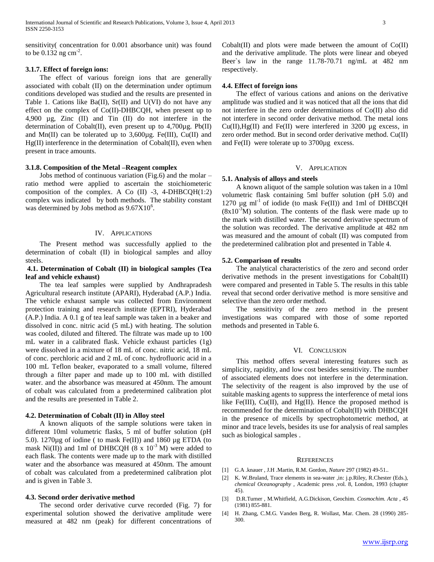sensitivity( concentration for 0.001 absorbance unit) was found to be  $0.132$  ng cm<sup>-2</sup>.

## **3.1.7. Effect of foreign ions:**

 The effect of various foreign ions that are generally associated with cobalt (II) on the determination under optimum conditions developed was studied and the results are presented in Table 1. Cations like Ba(II), Sr(II) and U(VI) do not have any effect on the complex of Co(II)-DHBCQH, when present up to 4,900 µg, Zinc (II) and Tin (II) do not interfere in the determination of Cobalt(II), even present up to  $4,700\mu$ g. Pb(II) and Mn(II) can be tolerated up to  $3,600\mu$ g. Fe(III), Cu(II) and Hg(II) interference in the determination of Cobalt(II), even when present in trace amounts.

## **3.1.8. Composition of the Metal –Reagent complex**

 Jobs method of continuous variation (Fig.6) and the molar – ratio method were applied to ascertain the stoichiometeric composition of the complex. A Co  $(II)$  -3, 4-DHBCQH $(1:2)$ complex was indicated by both methods. The stability constant was determined by Jobs method as  $9.67X10^6$ .

## IV. APPLICATIONS

 The Present method was successfully applied to the determination of cobalt (II) in biological samples and alloy steels.

## **4.1. Determination of Cobalt (II) in biological samples (Tea leaf and vehicle exhaust)**

 The tea leaf samples were supplied by Andhrapradesh Agricultural research institute (APARI), Hyderabad (A.P.) India. The vehicle exhaust sample was collected from Environment protection training and research institute (EPTRI), Hyderabad (A.P.) India. A 0.1 g of tea leaf sample was taken in a beaker and dissolved in conc. nitric acid (5 mL) with heating. The solution was cooled, diluted and filtered. The filtrate was made up to 100 mL water in a calibrated flask. Vehicle exhaust particles (1g) were dissolved in a mixture of 18 mL of conc. nitric acid, 18 mL of conc. perchloric acid and 2 mL of conc. hydrofluoric acid in a 100 mL Teflon beaker, evaporated to a small volume, filtered through a filter paper and made up to 100 mL with distilled water. and the absorbance was measured at 450nm. The amount of cobalt was calculated from a predetermined calibration plot and the results are presented in Table 2.

#### **4.2. Determination of Cobalt (II) in Alloy steel**

 A known aliquots of the sample solutions were taken in different 10ml volumetric flasks, 5 ml of buffer solution (pH 5.0).  $1270\mu$ g of iodine ( to mask Fe(II)) and 1860  $\mu$ g ETDA (to mask Ni(II)) and 1ml of DHBCQH (8 x  $10^{-3}$  M) were added to each flask. The contents were made up to the mark with distilled water and the absorbance was measured at 450nm. The amount of cobalt was calculated from a predetermined calibration plot and is given in Table 3.

#### **4.3. Second order derivative method**

 The second order derivative curve recorded (Fig. 7) for experimental solution showed the derivative amplitude were measured at 482 nm (peak) for different concentrations of Cobalt(II) and plots were made between the amount of  $Co(II)$ and the derivative amplitude. The plots were linear and obeyed Beer`s law in the range 11.78-70.71 ng/mL at 482 nm respectively.

#### **4.4. Effect of foreign ions**

 The effect of various cations and anions on the derivative amplitude was studied and it was noticed that all the ions that did not interfere in the zero order determinations of Co(II) also did not interfere in second order derivative method. The metal ions  $Cu(II),Hg(II)$  and Fe $(II)$  were interfered in 3200 µg excess, in zero order method. But in second order derivative method. Cu(II) and Fe(II) were tolerate up to 3700µg excess.

## V. APPLICATION

#### **5.1. Analysis of alloys and steels**

 A known aliquot of the sample solution was taken in a 10ml volumetric flask containing 5ml buffer solution (pH 5.0) and 1270  $\mu$ g ml<sup>-1</sup> of iodide (to mask Fe(II)) and 1ml of DHBCQH  $(8x10<sup>-3</sup>M)$  solution. The contents of the flask were made up to the mark with distilled water. The second derivative spectrum of the solution was recorded. The derivative amplitude at 482 nm was measured and the amount of cobalt (II) was computed from the predetermined calibration plot and presented in Table 4.

## **5.2. Comparison of results**

 The analytical characteristics of the zero and second order derivative methods in the present investigations for Cobalt(II) were compared and presented in Table 5. The results in this table reveal that second order derivative method is more sensitive and selective than the zero order method.

 The sensitivity of the zero method in the present investigations was compared with those of some reported methods and presented in Table 6.

#### VI. CONCLUSION

 This method offers several interesting features such as simplicity, rapidity, and low cost besides sensitivity. The number of associated elements does not interfere in the determination. The selectivity of the reagent is also improved by the use of suitable masking agents to suppress the interference of metal ions like Fe(III), Cu(II), and Hg(II). Hence the proposed method is recommended for the determination of Cobalt(II) with DHBCQH in the presence of micells by spectrophotometric method, at minor and trace levels, besides its use for analysis of real samples such as biological samples .

#### **REFERENCES**

- [1] G.A .knauer , J.H .Martin, R.M. Gordon*, Nature* 297 (1982) 49-51..
- [2] K. W.Bruland, Trace elements in sea-water ,in: j.p.Riley, R.Chester (Eds.), *chemical Oceanography* , Academic press ,vol. 8, London, 1993 (chapter 45).
- [3] D.R.Turner , M.Whitfield, A.G.Dickison, Geochim*. Cosmochim. Acta* , 45 (1981) 855-881.
- [4] H. Zhang, C.M.G. Vanden Berg, R. Wollast, Mar. Chem. 28 (1990) 285- 300.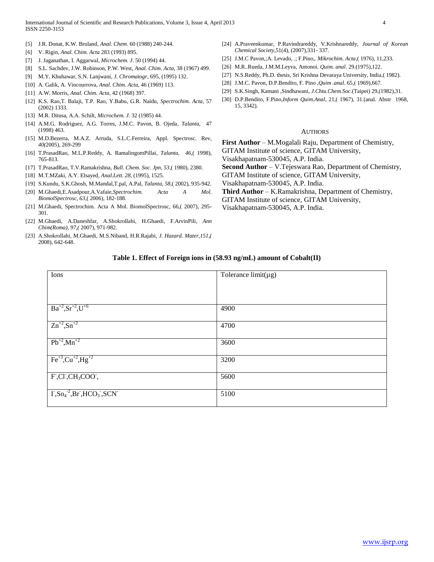International Journal of Scientific and Research Publications, Volume 3, Issue 4, April 2013 4 ISSN 2250-3153

- [5] J.R. Donat, K.W. Bruland*, Anal. Chem*. 60 (1988) 240-244.
- [6] V. Rigin*, Anal. Chim. Acta* 283 (1993) 895.
- [7] J. Jaganathan, I. Aggarwal*, Microchem. J*. 50 (1994) 44.
- [8] S.L. Sachdev, J.W. Robinson, P.W. West, *Anal. Chim. Acta*, 38 (1967) 499.
- [9] M.Y. Khuhawar, S.N. Lanjwani*, J. Chromatogr*, 695, (1995) 132.
- [10] A. Galik, A. Vincourrova*, Anal. Chim. Acta*, 46 (1969) 113.
- [11] A.W. Morris, *Anal. Chim. Acta*, 42 (1968) 397.
- [12] K.S. Rao,T. Balaji, T.P. Rao, Y.Babu, G.R. Naidu, *Spectrochim. Acta*, 57 (2002) 1333.
- [13] M.R. Ditusa, A.A. Schilt, *Microchem. J.* 32 (1985) 44.
- [14] A.M.G. Rodriguez, A.G. Torres, J.M.C. Pavon, B. Ojeda*, Talanta*, 47 (1998) 463.
- [15] M.D.Bezerra, M.A.Z. Arruda, S.L.C.Ferreira, Appl. Spectrosc. Rev*, 40(*2005), 269-299
- [16] T.PrasadRao, M.L.P.Reddy, A. RamalingomPillai*, Talanta, 46*,( 1998), 765-813.
- [17] T.PrasadRao, T.V.Ramakrishna*, Bull. Chem. Soc. Jpn, 53*,( 1980), 2380.
- [18] M.T.MZaki, A.Y. Elsayed*, Anal.Lett. 28,* (1995), 1525.
- [19] S.Kundu, S.K.Ghosh, M.Mandal,T.pal, A.Pal*, Talanta, 58*,( 2002), 935-942.
- [20] M.Ghaedi,E.Asadpour,A.Vafaie,*Spectrochim. Acta A Mol. BiomolSpectrosc, 63*,( 2006), 182-188.
- [21] M.Ghaedi, Spectrochim. Acta A Mol. BiomolSpectrosc, 66,( 2007), 295- 301.
- [22] M.Ghaedi, A.Daneshfar, A.Shokrollahi, H.Ghaedi, F.ArvinPili, *Ann Chim(Roma), 97,(* 2007), 971-982.
- [23] A.Shokrollahi, M.Ghaedi, M.S.Niband, H.R.Rajabi, *J. Hazard. Mater,151,(* 2008), 642-648.
- [24] A.Praveenkumar, P.Ravindrareddy, V.Krishnareddy, *Journal of Korean Chemical Society*,51(4), (2007),331- 337.
- [25] J.M.C Pavon,;A. Levado, .; F.Pino*,. Mikrochim. Acta*,( 1976), 11,233.
- [26] M.R..Rueda, J.M.M.Leyva*,* Antonoi*. Quim. anal*. 29.(1975),122.
- [27] N.S.Reddy, Ph.D. thesis, Sri Krishna Devaraya University, India,( 1982).
- [28] J.M.C. Pavon, D.P.Bendito, F. Pino *,Quim .anal*. 65,( 1969),667.
- [29] S.K.Singh, Kamani ,Sindhawani*, J.Chtu.Chem.Soc*.(Taipei) 29,(1982),31.
- [30] D.P.Bendito, F.Pino*,Inform Quim.Anal*, 21,( 1967), 31.(anal. Abstr 1968, 15, 3342).

#### AUTHORS

**First Author** – M.Mogalali Raju, Department of Chemistry, GITAM Institute of science, GITAM University, Visakhapatnam-530045, A.P. India. **Second Author** – V.Tejeswara Rao, Department of Chemistry, GITAM Institute of science, GITAM University, Visakhapatnam-530045, A.P. India.

- **Third Author**  K.Ramakrishna, Department of Chemistry,
- GITAM Institute of science, GITAM University,
- Visakhapatnam-530045, A.P. India.

## **Table 1. Effect of Foreign ions in (58.93 ng/mL) amount of Cobalt(II)**

| Ions                                                                                                    | Tolerance $limit(\mu g)$ |
|---------------------------------------------------------------------------------------------------------|--------------------------|
|                                                                                                         |                          |
|                                                                                                         |                          |
| $Ba^{+2}, Sr^{+2}, U^{+6}$                                                                              | 4900                     |
|                                                                                                         |                          |
| $Zn^{2}$ , $Sn^{+2}$                                                                                    | 4700                     |
|                                                                                                         |                          |
| $Pb^{+2}$ , Mn <sup>+2</sup>                                                                            | 3600                     |
|                                                                                                         |                          |
| $Fe^{+3}$ , $Cu^{+2}$ , $Hg^{+2}$                                                                       | 3200                     |
| $F, CI, CH3COO$ ,                                                                                       | 5600                     |
|                                                                                                         |                          |
| $\overline{I}$ , So <sub>4</sub> <sup>-2</sup> , Br <sup>3</sup> , HCO <sub>3</sub> , SCN <sup>-1</sup> | 5100                     |
|                                                                                                         |                          |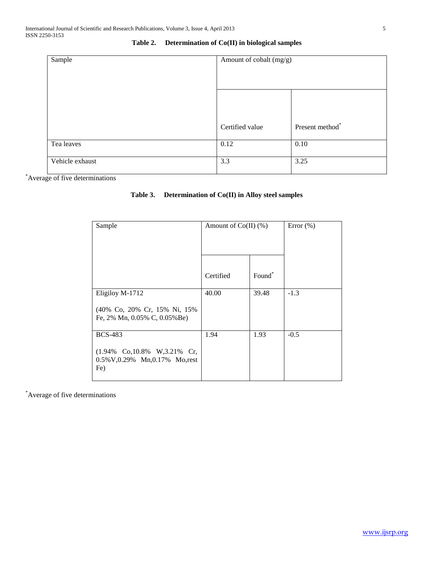| Sample          | Amount of cobalt (mg/g) |                 |
|-----------------|-------------------------|-----------------|
|                 |                         |                 |
|                 |                         |                 |
|                 | Certified value         | Present method* |
| Tea leaves      | 0.12                    | 0.10            |
| Vehicle exhaust | 3.3                     | 3.25            |

# **Table 2. Determination of Co(II) in biological samples**

\*Average of five determinations

# **Table 3. Determination of Co(II) in Alloy steel samples**

| Sample                                                                  | Amount of $Co(II)$ (%) |                    | Error $(\% )$ |
|-------------------------------------------------------------------------|------------------------|--------------------|---------------|
|                                                                         |                        |                    |               |
|                                                                         | Certified              | Found <sup>*</sup> |               |
| Eligiloy M-1712                                                         | 40.00                  | 39.48              | $-1.3$        |
| (40% Co, 20% Cr, 15% Ni, 15%)<br>Fe, $2\%$ Mn, $0.05\%$ C, $0.05\%$ Be) |                        |                    |               |
| <b>BCS-483</b>                                                          | 1.94                   | 1.93               | $-0.5$        |
| (1.94% Co, 10.8% W, 3.21% Cr,<br>0.5% V,0.29% Mn,0.17% Mo,rest<br>Fe)   |                        |                    |               |

\*Average of five determinations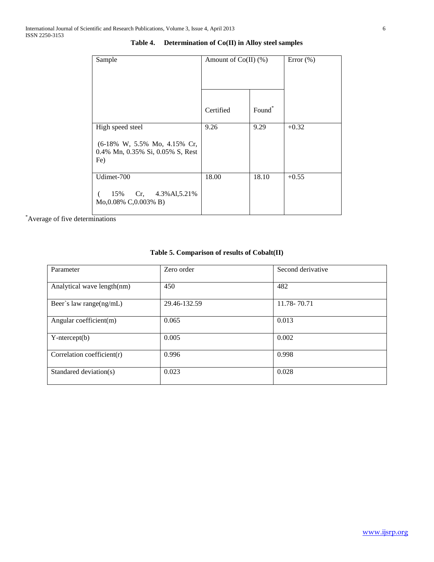| Sample                                                                  | Amount of $Co(II)$ (%) |                    | Error $(\% )$ |
|-------------------------------------------------------------------------|------------------------|--------------------|---------------|
|                                                                         |                        |                    |               |
|                                                                         |                        |                    |               |
|                                                                         |                        |                    |               |
|                                                                         | Certified              | Found <sup>*</sup> |               |
| High speed steel                                                        | 9.26                   | 9.29               | $+0.32$       |
| (6-18% W, 5.5% Mo, 4.15% Cr,<br>0.4% Mn, 0.35% Si, 0.05% S, Rest<br>Fe) |                        |                    |               |
| Udimet-700                                                              | 18.00                  | 18.10              | $+0.55$       |
| 15% Cr, 4.3% Al, 5.21%<br>Mo,0.08% C,0.003% B)                          |                        |                    |               |

## **Table 4. Determination of Co(II) in Alloy steel samples**

\*Average of five determinations

# **Table 5. Comparison of results of Cobalt(II)**

| Parameter                  | Zero order   | Second derivative |
|----------------------------|--------------|-------------------|
| Analytical wave length(nm) | 450          | 482               |
| Beer's law range(ng/mL)    | 29.46-132.59 | 11.78-70.71       |
| Angular coefficient(m)     | 0.065        | 0.013             |
| $Y-intercept(b)$           | 0.005        | 0.002             |
| Correlation coefficient(r) | 0.996        | 0.998             |
| Standared deviation(s)     | 0.023        | 0.028             |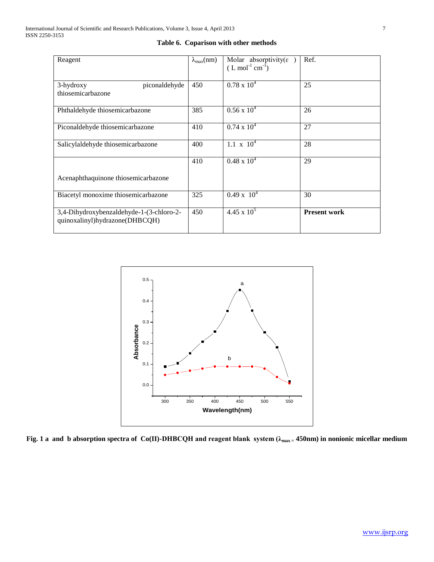| Reagent                                                                    | $\lambda_{\max}(nm)$ | Molar absorptivity( $\varepsilon$<br>$(L \text{ mol}^{-1} \text{ cm}^{-1})$ | Ref.                |
|----------------------------------------------------------------------------|----------------------|-----------------------------------------------------------------------------|---------------------|
| 3-hydroxy<br>piconaldehyde<br>thiosemicarbazone                            | 450                  | $0.78 \times 10^4$                                                          | 25                  |
| Phthaldehyde thiosemicarbazone                                             | 385                  | $0.56 \times 10^4$                                                          | 26                  |
| Piconaldehyde thiosemicarbazone                                            | 410                  | $0.74 \times 10^4$                                                          | 27                  |
| Salicylaldehyde thiosemicarbazone                                          | 400                  | $1.1 \times 10^4$                                                           | 28                  |
|                                                                            | 410                  | $0.48 \times 10^{4}$                                                        | 29                  |
| Acenaphthaquinone thiosemicarbazone                                        |                      |                                                                             |                     |
| Biacetyl monoxime thiosemicarbazone                                        | 325                  | $0.49 \times 10^{4}$                                                        | 30                  |
| 3,4-Dihydroxybenzaldehyde-1-(3-chloro-2-<br>quinoxalinyl)hydrazone(DHBCQH) | 450                  | $4.45 \times 10^5$                                                          | <b>Present work</b> |

**Table 6. Coparison with other methods**



**Fig. 1 a and b absorption spectra of Co(II)-DHBCQH and reagent blank system (λmax = 450nm) in nonionic micellar medium**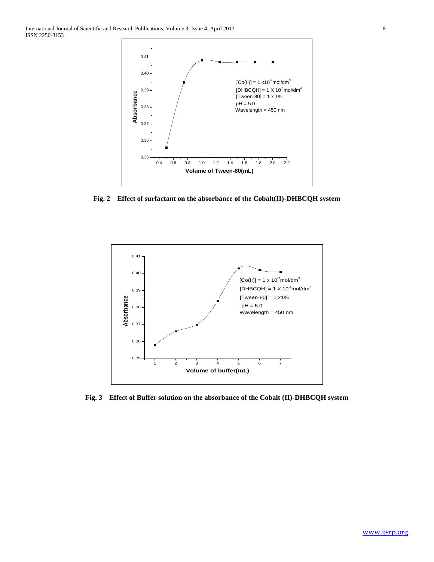

**Fig. 2 Effect of surfactant on the absorbance of the Cobalt(II)-DHBCQH system**



**Fig. 3 Effect of Buffer solution on the absorbance of the Cobalt (II)-DHBCQH system**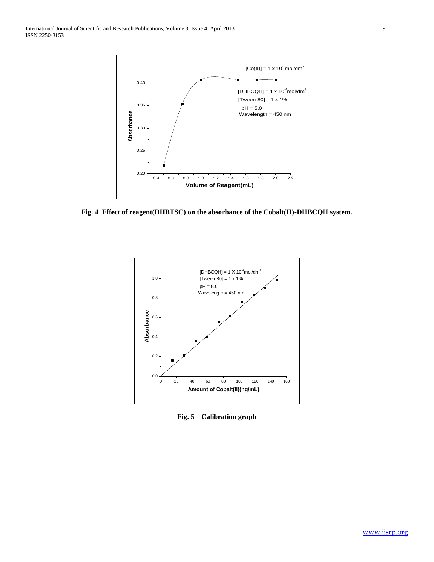

**Fig. 4 Effect of reagent(DHBTSC) on the absorbance of the Cobalt(II)-DHBCQH system.**



**Fig. 5 Calibration graph**